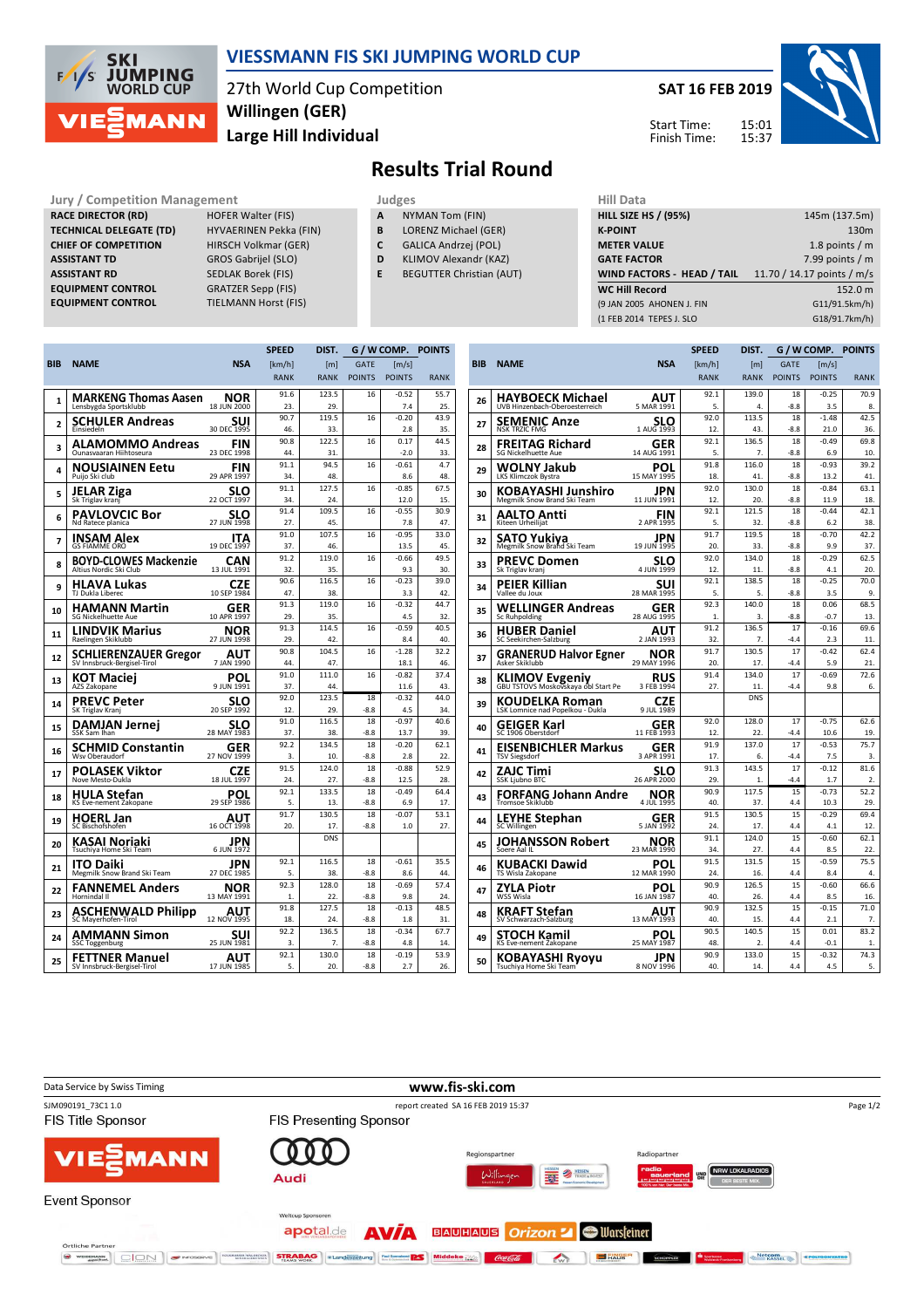

## **VIESSMANN FIS SKI JUMPING WORLD CUP**

27th World Cup Competition **Large Hill Individual Willingen (GER)**

**SAT 16 FEB 2019**





**Jury / Competition Management Judges Hill Data**<br> **RACE DIRECTOR (RD)** HOFER Walter (FIS) **A** NYMAN Tom (FIN) **HILL SIZE HILL SIZE F RACE DIRECTOR (RD) TECHNICAL DELEGATE (TD)** HYVAERINEN Pekka (FIN) **CHIEF OF COMPETITION** HIRSCH Volkmar (GER) **ASSISTANT TD** GROS Gabrijel (SLO) **ASSISTANT RD** SEDLAK Borek (FIS)<br>**EQUIPMENT CONTROL** GRATZER Sepp (FIS) **EQUIPMENT CONTROL**<br>**EQUIPMENT CONTROL** 

**TIELMANN Horst (FIS)** 

- **A** NYMAN Tom (FIN)
- **B** LORENZ Michael (GER) **C** GALICA Andrzej (POL)
	-
- **D** KLIMOV Alexandr (KAZ)

**Results Trial Round**

**E** BEGUTTER Christian (AUT)

| 11111 <i>Data</i>                 |                            |
|-----------------------------------|----------------------------|
| <b>HILL SIZE HS / (95%)</b>       | 145m (137.5m)              |
| <b>K-POINT</b>                    | 130 <sub>m</sub>           |
| <b>METER VALUE</b>                | 1.8 points $/m$            |
| <b>GATE FACTOR</b>                | 7.99 points $/m$           |
| <b>WIND FACTORS - HEAD / TAIL</b> | 11.70 / 14.17 points / m/s |
| <b>WC Hill Record</b>             | 152.0 m                    |
| (9 JAN 2005 AHONEN J. FIN         | G11/91.5km/h)              |
|                                   |                            |
| (1 FEB 2014 TEPES J. SLO          | G18/91.7km/h)              |

|                |                                                      |                    | <b>SPEED</b> | DIST.        |               | G / W COMP. POINTS |             |
|----------------|------------------------------------------------------|--------------------|--------------|--------------|---------------|--------------------|-------------|
| <b>BIB</b>     | <b>NAME</b>                                          | <b>NSA</b>         | [km/h]       | [m]          | <b>GATE</b>   | [m/s]              |             |
|                |                                                      |                    | <b>RANK</b>  | <b>RANK</b>  | <b>POINTS</b> | <b>POINTS</b>      | <b>RANK</b> |
|                |                                                      | NOR                | 91.6         | 123.5        | 16            | $-0.52$            | 55.7        |
| 1              | <b>MARKENG Thomas Aasen</b><br>Lensbygda Sportsklubb | 18 JUN 2000        | 23.          | 29.          |               | 7.4                | 25.         |
|                | SCHULER Andreas                                      | SUI                | 90.7         | 119.5        | 16            | $-0.20$            | 43.9        |
| $\overline{2}$ | Einsiedeln                                           | 30 DEC 1995        | 46.          | 33.          |               | 2.8                | 35.         |
| 3              | ALAMOMMO Andreas                                     | FIN                | 90.8         | 122.5        | 16            | 0.17               | 44.5        |
|                | Qunasyaaran Hiihtoseura                              | 23 DEC 1998        | 44.          | 31.          |               | $-2.0$             | 33.         |
| 4              | NOUSIAINEN Eetu<br>Puijo Ski club                    | FIN<br>29 APR 1997 | 91.1<br>34.  | 94.5<br>48.  | 16            | $-0.61$<br>8.6     | 4.7<br>48.  |
|                |                                                      |                    | 91.1         | 127.5        | 16            | $-0.85$            | 67.5        |
| 5              | JELAR Ziga<br>Sk Triglav krani                       | SLO<br>22 OCT 1997 | 34.          | 24           |               | 12.0               | 15.         |
| 6              | <b>PAVLOVCIC Bor</b>                                 | SLO                | 91.4         | 109.5        | 16            | $-0.55$            | 30.9        |
|                | Nd Ratece planica                                    | 27 JUN 1998        | 27.          | 45.          |               | 7.8                | 47.         |
| 7              | INSAM Alex                                           | ITA                | 91.0         | 107.5        | 16            | $-0.95$            | 33.0        |
|                | <b>GS FIAMME ORO</b>                                 | 19 DEC 1997        | 37.          | 46.          |               | 13.5               | 45.         |
| 8              | <b>BOYD-CLOWES Mackenzie</b>                         | CAN                | 91.2<br>32.  | 119.0<br>35. | 16            | $-0.66$<br>9.3     | 49.5<br>30. |
|                | Altius Nordic Ski Club                               | 13 JUL 1991        | 90.6         | 116.5        | 16            | $-0.23$            | 39.0        |
| 9              | HLAVA Lukas<br>TJ Dukla Liberec                      | CZE<br>10 SEP 1984 | 47.          | 38.          |               | 3.3                | 42.         |
|                |                                                      |                    | 91.3         | 119.0        | 16            | $-0.32$            | 44.7        |
| 10             | <b>HAMANN Martin</b><br>SG Nickelhuette Aue          | GER<br>10 APR 1997 | 29.          | 35.          |               | 4.5                | 32.         |
|                |                                                      |                    | 91.3         | 114.5        | 16            | $-0.59$            | 40.5        |
| 11             | <b>LINDVIK Marius</b><br>Raelingen Skiklubb          | NOR<br>27 JUN 1998 | 29.          | 42.          |               | 8.4                | 40.         |
|                | <b>SCHLIERENZAUER Gregor</b>                         | ΑUΤ                | 90.8         | 104.5        | 16            | $-1.28$            | 32.2        |
| 12             | SV Innsbruck-Bergisel-Tirol                          | 7 JAN 1990         | 44.          | 47.          |               | 18.1               | 46.         |
| 13             | KOT Maciej                                           | POL                | 91.0         | 111.0        | 16            | $-0.82$            | 37.4        |
|                | AZS Zakopane                                         | 9 JUN 1991         | 37.          | 44           |               | 11.6               | 43.         |
| 14             | PREVC Peter                                          | SLO                | 92.0         | 123.5        | 18            | $-0.32$            | 44.0        |
|                | SK Triglav Kranj                                     | 20 SEP 1992        | 12.<br>91.0  | 29.<br>116.5 | $-8.8$<br>18  | 4.5<br>$-0.97$     | 34.<br>40.6 |
| 15             | DAMJAN Jernei<br>SSK Sam Ihan                        | SLO<br>28 MAY 1983 | 37.          | 38.          | $-8.8$        | 13.7               | 39.         |
|                | <b>SCHMID Constantin</b>                             | GER                | 92.2         | 134.5        | 18            | $-0.20$            | 62.1        |
| 16             | Wsv Oberaudorf                                       | 27 NOV 1999        | 3.           | 10.          | $-8.8$        | 2.8                | 22.         |
| 17             | POLASEK Viktor                                       | CZE                | 91.5         | 124.0        | 18            | $-0.88$            | 52.9        |
|                | Nove Mesto-Dukla                                     | 18 JUL 1997        | 24.          | 27.          | $-8.8$        | 12.5               | 28.         |
| 18             | <b>HULA Stefan</b>                                   | POL<br>29 SEP 1986 | 92.1<br>5.   | 133.5        | 18            | $-0.49$            | 64.4        |
|                | KS Eve-nement Zakopane                               |                    | 91.7         | 13.<br>130.5 | $-8.8$<br>18  | 6.9<br>$-0.07$     | 17.<br>53.1 |
| 19             | <b>HOERL Jan</b><br>SC Bischofshofen                 | AUT<br>16 OCT 1998 | 20.          | 17.          | $-8.8$        | 1.0                | 27.         |
| 20             | KASAI Noriaki<br>Tsuchiya Home Ski Team              | JPN<br>6 JUN 1972  |              | <b>DNS</b>   |               |                    |             |
|                | ITO Daiki                                            | JPN                | 92.1         | 116.5        | 18            | $-0.61$            | 35.5        |
| 21             | Megmilk Snow Brand Ski Team                          | 27 DEC 1985        | 5.           | 38.          | $-8.8$        | 8.6                | 44.         |
| 22             | <b>FANNEMEL Anders</b><br>Hornindal II               | NOR<br>13 MAY 1991 | 92.3<br>1.   | 128.0<br>22. | 18<br>$-8.8$  | $-0.69$<br>9.8     | 57.4<br>24. |
|                |                                                      |                    | 91.8         | 127.5        | 18            | $-0.13$            | 48.5        |
| 23             | ASCHENWALD Philipp<br>SC Mayerhofen-Tirol            | AUT<br>12 NOV 1995 | 18.          | 24.          | $-8.8$        | 1.8                | 31.         |
| 24             | AMMANN Simon                                         | SUI                | 92.2         | 136.5        | 18            | $-0.34$            | 67.7        |
|                | <b>SSC Toggenburg</b>                                | 25 JUN 1981        | 3.           | 7.           | $-8.8$        | 48                 | 14          |
| 25             | FETTNER Manuel                                       | AUT                | 92.1         | 130.0        | 18            | $-0.19$            | 53.9        |
|                | SV Innsbruck-Bergisel-Tirol                          | 17 JUN 1985        | 5.           | 20           | $-8.8$        | 27                 | 26.         |

|     |                                                              |                    | <b>SPEED</b> | DIST.            |               | G / W COMP.     | <b>POINTS</b>    |
|-----|--------------------------------------------------------------|--------------------|--------------|------------------|---------------|-----------------|------------------|
| BIB | <b>NAME</b>                                                  | <b>NSA</b>         | [km/h]       | [m]              | <b>GATE</b>   | [m/s]           |                  |
|     |                                                              |                    | <b>RANK</b>  | <b>RANK</b>      | <b>POINTS</b> | <b>POINTS</b>   | <b>RANK</b>      |
|     | HAYBOECK Michael                                             | AUT                | 92.1         | 139.0            | 18            | $-0.25$         | 70.9             |
| 26  | UVB Hinzenbach-Oberoesterreich                               | 5 MAR 1991         | 5.           | 4.               | $-8.8$        | 3.5             | 8.               |
| 27  | SEMENIC Anze                                                 | SLO                | 92.0         | 113.5            | 18            | $-1.48$         | 42.5             |
|     | <b>NSK TRZIC FMG</b>                                         | 1 AUG 1993         | 12.<br>92.1  | 43.<br>136.5     | $-8.8$<br>18  | 21.0<br>$-0.49$ | 36.<br>69.8      |
| 28  | FREITAG Richard<br><b>SG Nickelhuette Aue</b>                | GER<br>14 AUG 1991 | 5.           | 7.               | $-8.8$        | 6.9             | 10.              |
|     | WOLNY Jakub                                                  | POL                | 91.8         | 116.0            | 18            | $-0.93$         | 39.2             |
| 29  | LKS Klimczok Bystra                                          | 15 MAY 1995        | 18.          | 41.              | $-8.8$        | 13.2            | 41.              |
| 30  | KOBAYASHI Junshiro<br>Megmilk Snow Brand Ski Team            | JPN<br>11 JUN 1991 | 92.0<br>12.  | 130.0<br>20.     | 18<br>$-8.8$  | -0.84<br>11.9   | 63.1<br>18.      |
|     | AALTO Antti                                                  | FIN                | 92.1         | 121.5            | 18            | $-0.44$         | 42.1             |
| 31  | Kiteen Urheilijat                                            | 2 APR 1995         | 5.           | 32.              | $-8.8$        | 6.2             | 38.              |
| 32  | SATO Yukiya                                                  | JPN                | 91.7         | 119.5            | 18            | $-0.70$         | 42.2             |
|     | Megmilk Snow Brand Ski Team                                  | 19 JUN 1995        | 20.          | 33.              | $-8.8$        | q q             | 37.              |
| 33  | PREVC Domen<br>Sk Triglav kranj                              | SLO<br>4 JUN 1999  | 92.0<br>12.  | 134.0<br>11.     | 18<br>$-8.8$  | $-0.29$<br>4.1  | 62.5<br>20.      |
|     |                                                              | SUI                | 92.1         | 138.5            | 18            | $-0.25$         | 70.0             |
| 34  | PEIER Killian<br>Vallee du Joux                              | 28 MAR 1995        | 5.           | 5.               | $-8.8$        | 3.5             | 9.               |
| 35  | WELLINGER Andreas                                            | GER                | 92.3         | 140.0            | 18            | 0.06            | 68.5             |
|     | <b>Sc Ruhpolding</b>                                         | 28 AUG 1995        | 1.           | 3.               | $-8.8$        | $-0.7$          | 13.              |
| 36  | <b>HUBER Daniel</b>                                          | AUT                | 91.2         | 136.5            | 17            | $-0.16$         | 69.6             |
|     | SC Seekirchen-Salzburg                                       | 2 JAN 1993         | 32.<br>91.7  | 7.<br>130.5      | $-4.4$<br>17  | 2.3<br>$-0.42$  | 11.<br>62.4      |
| 37  | <b>GRANERUD Halvor Egner</b><br>Asker Skiklubb               | NOR<br>29 MAY 1996 | 20.          | 17.              | $-4.4$        | 5.9             | 21.              |
|     |                                                              | RUS                | 91.4         | 134.0            | 17            | $-0.69$         | 72.6             |
| 38  | <b>KLIMOV Evgeniy</b><br>GBU TSTOVS Moskovskaya obl Start Pe | 3 FEB 1994         | 27.          | 11.              | $-4.4$        | 9.8             | 6.               |
| 39  | KOUDELKA Roman<br>LSK Lomnice nad Popelkou - Dukla           | CZE<br>9 JUL 1989  |              | <b>DNS</b>       |               |                 |                  |
| 40  | GEIGER Karl                                                  | GER                | 92.0         | 128.0            | 17            | -0.75           | 62.6             |
|     | SC 1906 Oberstdorf                                           | 11 FEB 1993        | 12.          | 22.              | $-4.4$        | 10.6            | 19.              |
| 41  | EISENBICHLER Markus<br><b>TSV Siegsdorf</b>                  | GER<br>3 APR 1991  | 91.9<br>17.  | 137.0<br>6.      | 17<br>$-4.4$  | $-0.53$<br>7.5  | 75.7<br>3.       |
|     | ZAJC Timi                                                    | SLO                | 91.3         | 143.5            | 17            | $-0.12$         | 81.6             |
| 42  | SSK Ljubno BTC                                               | 26 APR 2000        | 29.          | 1.               | $-4.4$        | 1.7             | $\overline{2}$ . |
| 43  | FORFANG Johann Andre<br><b>Tromsoe Skiklubb</b>              | NOR<br>4 JUL 1995  | 90.9<br>40.  | 117.5<br>37.     | 15<br>4.4     | $-0.73$<br>10.3 | 52.2<br>29.      |
|     | <b>LEYHE Stephan</b>                                         | GER                | 91.5         | 130.5            | 15            | $-0.29$         | 69.4             |
| 44  | SC Willingen                                                 | 5 JAN 1992         | 24.          | 17.              | 4.4           | 4.1             | 12.              |
| 45  | JOHANSSON Robert                                             | NOR                | 91.1         | 124.0            | 15            | $-0.60$         | 62.1             |
|     | Soere Aal IL                                                 | 23 MAR 1990        | 34           | 27.              | 4.4           | 8.5             | 22.              |
| 46  | KUBACKI Dawid<br>TS Wisla Zakopane                           | POL<br>12 MAR 1990 | 91.5<br>24.  | 131.5<br>16.     | 15<br>4.4     | $-0.59$<br>8.4  | 75.5<br>4.       |
|     | ZYLA Piotr                                                   | POL                | 90.9         | 126.5            | 15            | $-0.60$         | 66.6             |
| 47  | WSS Wisla                                                    | 16 JAN 1987        | 40.          | 26.              | 4.4           | 8.5             | 16.              |
| 48  | KRAFT Stefan<br>SV Schwarzach-Salzburg                       | AUT<br>13 MAY 1993 | 90.9<br>40.  | 132.5<br>15.     | 15<br>4.4     | $-0.15$<br>2.1  | 71.0<br>7.       |
|     |                                                              |                    | 90.5         | 140.5            | 15            | 0.01            | 83.2             |
| 49  | STOCH Kamil<br>KS Eve-nement Zakopane                        | POL<br>25 MAY 1987 | 48.          | $\overline{2}$ . | 4.4           | $-0.1$          | 1.               |
| 50  | KOBAYA <u>ŞHI</u> Ryoyu                                      | JPN                | 90.9         | 133.0            | 15            | $-0.32$         | 74.3             |
|     | Tsuchiya Home Ski Team'                                      | 8 NOV 1996         | 40.          | 14.              | 4.4           | 4.5             | 5.               |